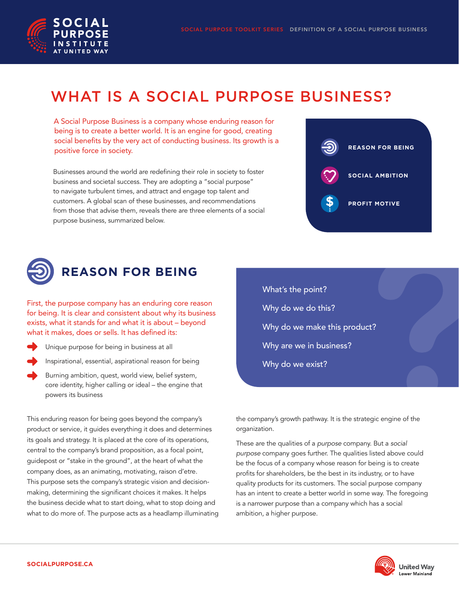

# WHAT IS A SOCIAL PURPOSE BUSINESS?

A Social Purpose Business is a company whose enduring reason for being is to create a better world. It is an engine for good, creating social benefits by the very act of conducting business. Its growth is a positive force in society.

Businesses around the world are redefining their role in society to foster business and societal success. They are adopting a "social purpose" to navigate turbulent times, and attract and engage top talent and customers. A global scan of these businesses, and recommendations from those that advise them, reveals there are three elements of a social purpose business, summarized below.





First, the purpose company has an enduring core reason for being. It is clear and consistent about why its business exists, what it stands for and what it is about – beyond what it makes, does or sells. It has defined its:

- Unique purpose for being in business at all
- Inspirational, essential, aspirational reason for being
- Burning ambition, quest, world view, belief system, core identity, higher calling or ideal – the engine that powers its business

This enduring reason for being goes beyond the company's product or service, it guides everything it does and determines its goals and strategy. It is placed at the core of its operations, central to the company's brand proposition, as a focal point, guidepost or "stake in the ground", at the heart of what the company does, as an animating, motivating, raison d'etre. This purpose sets the company's strategic vision and decisionmaking, determining the significant choices it makes. It helps the business decide what to start doing, what to stop doing and what to do more of. The purpose acts as a headlamp illuminating What's the point? Why do we do this? Why do we make this product? Why are we in business? Why do we exist?

the company's growth pathway. It is the strategic engine of the organization.

These are the qualities of a *purpose* company. But a *social purpose* company goes further. The qualities listed above could be the focus of a company whose reason for being is to create profits for shareholders, be the best in its industry, or to have quality products for its customers. The social purpose company has an intent to create a better world in some way. The foregoing is a narrower purpose than a company which has a social ambition, a higher purpose.

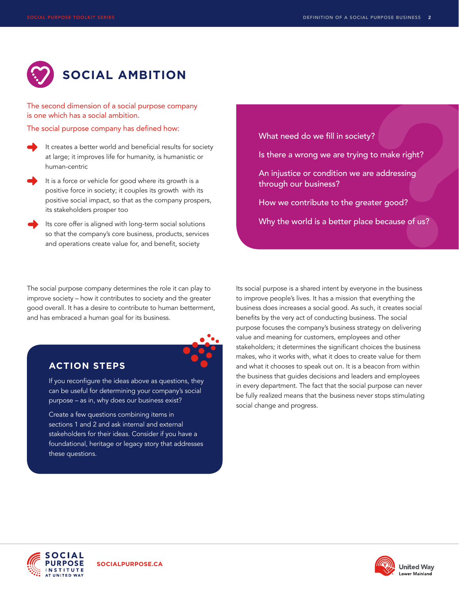

The second dimension of a social purpose company is one which has a social ambition.

The social purpose company has defined how:

- It creates a better world and beneficial results for society at large; it improves life for humanity, is humanistic or human-centric
- It is a force or vehicle for good where its growth is a positive force in society; it couples its growth with its positive social impact, so that as the company prospers, its stakeholders prosper too
- Its core offer is aligned with long-term social solutions so that the company's core business, products, services and operations create value for, and benefit, society

The social purpose company determines the role it can play to improve society – how it contributes to society and the greater good overall. It has a desire to contribute to human betterment, and has embraced a human goal for its business.



## **ACTION STEPS**

If you reconfigure the ideas above as questions, they can be useful for determining your company's social purpose – as in, why does our business exist?

Create a few questions combining items in sections 1 and 2 and ask internal and external stakeholders for their ideas. Consider if you have a foundational, heritage or legacy story that addresses these questions.

What need do we fill in society?

- Is there a wrong we are trying to make right?
- An injustice or condition we are addressing through our business?
- How we contribute to the greater good?

Why the world is a better place because of us?

Its social purpose is a shared intent by everyone in the business to improve people's lives. It has a mission that everything the business does increases a social good. As such, it creates social benefits by the very act of conducting business. The social purpose focuses the company's business strategy on delivering value and meaning for customers, employees and other stakeholders; it determines the significant choices the business makes, who it works with, what it does to create value for them and what it chooses to speak out on. It is a beacon from within the business that guides decisions and leaders and employees in every department. The fact that the social purpose can never be fully realized means that the business never stops stimulating social change and progress.



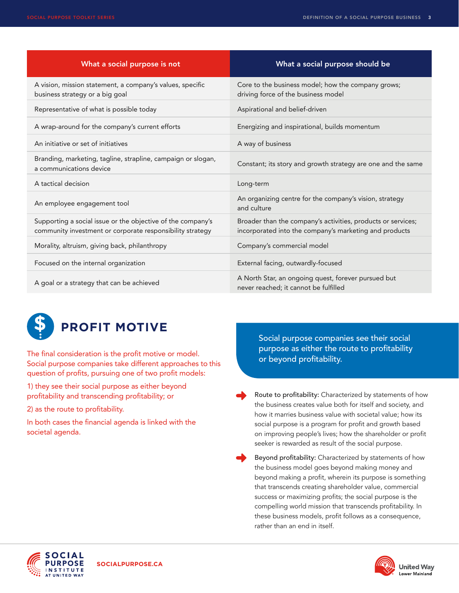| What a social purpose is not                                                                                             | What a social purpose should be                                                                                        |
|--------------------------------------------------------------------------------------------------------------------------|------------------------------------------------------------------------------------------------------------------------|
| A vision, mission statement, a company's values, specific<br>business strategy or a big goal                             | Core to the business model; how the company grows;<br>driving force of the business model                              |
| Representative of what is possible today                                                                                 | Aspirational and belief-driven                                                                                         |
| A wrap-around for the company's current efforts                                                                          | Energizing and inspirational, builds momentum                                                                          |
| An initiative or set of initiatives                                                                                      | A way of business                                                                                                      |
| Branding, marketing, tagline, strapline, campaign or slogan,<br>a communications device                                  | Constant; its story and growth strategy are one and the same                                                           |
| A tactical decision                                                                                                      | Long-term                                                                                                              |
| An employee engagement tool                                                                                              | An organizing centre for the company's vision, strategy<br>and culture                                                 |
| Supporting a social issue or the objective of the company's<br>community investment or corporate responsibility strategy | Broader than the company's activities, products or services;<br>incorporated into the company's marketing and products |
| Morality, altruism, giving back, philanthropy                                                                            | Company's commercial model                                                                                             |
| Focused on the internal organization                                                                                     | External facing, outwardly-focused                                                                                     |
| A goal or a strategy that can be achieved                                                                                | A North Star, an ongoing quest, forever pursued but<br>never reached; it cannot be fulfilled                           |



## **PROFIT MOTIVE**

The final consideration is the profit motive or model. Social purpose companies take different approaches to this question of profits, pursuing one of two profit models:

1) they see their social purpose as either beyond profitability and transcending profitability; or

2) as the route to profitability.

In both cases the financial agenda is linked with the societal agenda.

Social purpose companies see their social purpose as either the route to profitability or beyond profitability.

 Route to profitability: Characterized by statements of how the business creates value both for itself and society, and how it marries business value with societal value; how its social purpose is a program for profit and growth based on improving people's lives; how the shareholder or profit seeker is rewarded as result of the social purpose.

 Beyond profitability: Characterized by statements of how the business model goes beyond making money and beyond making a profit, wherein its purpose is something that transcends creating shareholder value, commercial success or maximizing profits; the social purpose is the compelling world mission that transcends profitability. In these business models, profit follows as a consequence, rather than an end in itself.